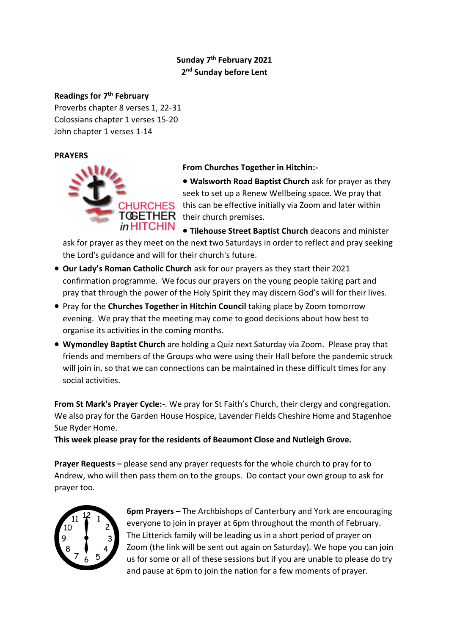# **Sunday 7 th February 2021 2 nd Sunday before Lent**

## **Readings for 7 th February**

Proverbs chapter 8 verses 1, 22-31 Colossians chapter 1 verses 15-20 John chapter 1 verses 1-14

#### **PRAYERS**



## **From Churches Together in Hitchin:-**

• **Walsworth Road Baptist Church** ask for prayer as they seek to set up a Renew Wellbeing space. We pray that this can be effective initially via Zoom and later within **GGETHER** their church premises.

• **Tilehouse Street Baptist Church** deacons and minister

ask for prayer as they meet on the next two Saturdays in order to reflect and pray seeking the Lord's guidance and will for their church's future.

- **Our Lady's Roman Catholic Church** ask for our prayers as they start their 2021 confirmation programme. We focus our prayers on the young people taking part and pray that through the power of the Holy Spirit they may discern God's will for their lives.
- Pray for the **Churches Together in Hitchin Council** taking place by Zoom tomorrow evening. We pray that the meeting may come to good decisions about how best to organise its activities in the coming months.
- **Wymondley Baptist Church** are holding a Quiz next Saturday via Zoom. Please pray that friends and members of the Groups who were using their Hall before the pandemic struck will join in, so that we can connections can be maintained in these difficult times for any social activities.

**From St Mark's Prayer Cycle:-**. We pray for St Faith's Church, their clergy and congregation. We also pray for the Garden House Hospice, Lavender Fields Cheshire Home and Stagenhoe Sue Ryder Home.

**This week please pray for the residents of Beaumont Close and Nutleigh Grove.**

**Prayer Requests –** please send any prayer requests for the whole church to pray for to Andrew, who will then pass them on to the groups. Do contact your own group to ask for prayer too.



**6pm Prayers –** The Archbishops of Canterbury and York are encouraging everyone to join in prayer at 6pm throughout the month of February. The Litterick family will be leading us in a short period of prayer on Zoom (the link will be sent out again on Saturday). We hope you can join us for some or all of these sessions but if you are unable to please do try and pause at 6pm to join the nation for a few moments of prayer.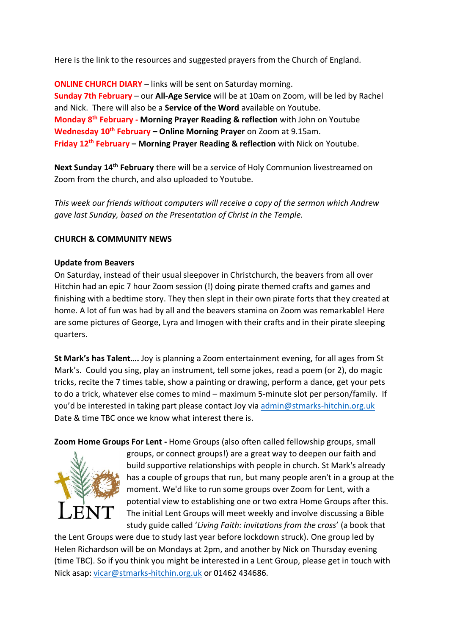Here is the link to the resources and suggested prayers from the Church of England.

**ONLINE CHURCH DIARY** – links will be sent on Saturday morning. **Sunday 7th February** – our **All-Age Service** will be at 10am on Zoom, will be led by Rachel and Nick. There will also be a **Service of the Word** available on Youtube. **Monday 8 th February - Morning Prayer Reading & reflection** with John on Youtube **Wednesday 10th February – Online Morning Prayer** on Zoom at 9.15am. **Friday 12th February – Morning Prayer Reading & reflection** with Nick on Youtube.

**Next Sunday 14th February** there will be a service of Holy Communion livestreamed on Zoom from the church, and also uploaded to Youtube.

*This week our friends without computers will receive a copy of the sermon which Andrew gave last Sunday, based on the Presentation of Christ in the Temple.*

## **CHURCH & COMMUNITY NEWS**

## **Update from Beavers**

On Saturday, instead of their usual sleepover in Christchurch, the beavers from all over Hitchin had an epic 7 hour Zoom session (!) doing pirate themed crafts and games and finishing with a bedtime story. They then slept in their own pirate forts that they created at home. A lot of fun was had by all and the beavers stamina on Zoom was remarkable! Here are some pictures of George, Lyra and Imogen with their crafts and in their pirate sleeping quarters.

**St Mark's has Talent….** Joy is planning a Zoom entertainment evening, for all ages from St Mark's. Could you sing, play an instrument, tell some jokes, read a poem (or 2), do magic tricks, recite the 7 times table, show a painting or drawing, perform a dance, get your pets to do a trick, whatever else comes to mind – maximum 5-minute slot per person/family. If you'd be interested in taking part please contact Joy vi[a admin@stmarks-hitchin.org.uk](mailto:admin@stmarks-hitchin.org.uk) Date & time TBC once we know what interest there is.

**Zoom Home Groups For Lent -** Home Groups (also often called fellowship groups, small



groups, or connect groups!) are a great way to deepen our faith and build supportive relationships with people in church. St Mark's already has a couple of groups that run, but many people aren't in a group at the moment. We'd like to run some groups over Zoom for Lent, with a potential view to establishing one or two extra Home Groups after this. The initial Lent Groups will meet weekly and involve discussing a Bible study guide called '*Living Faith: invitations from the cross*' (a book that

the Lent Groups were due to study last year before lockdown struck). One group led by Helen Richardson will be on Mondays at 2pm, and another by Nick on Thursday evening (time TBC). So if you think you might be interested in a Lent Group, please get in touch with Nick asap: [vicar@stmarks-hitchin.org.uk](mailto:vicar@stmarks-hitchin.org.uk) or 01462 434686.